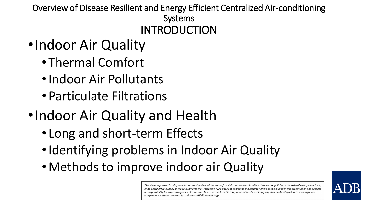Overview of Disease Resilient and Energy Efficient Centralized Air-conditioning Systems INTRODUCTION

- •Indoor Air Quality
	- Thermal Comfort
	- •Indoor Air Pollutants
	- Particulate Filtrations
- •Indoor Air Quality and Health
	- Long and short-term Effects
	- Identifying problems in Indoor Air Quality
	- Methods to improve indoor air Quality

The views expressed in this presentation are the views of the author/s and do not necessarily reflect the views or policies of the Asian Development Bank, or its Board of Governors, or the governments they represent. ADB does not guarantee the accuracy of the data included in this presentation and accepts no responsibility for any consequence of their use. The countries listed in this presentation do not imply any view on ADB's part as to sovereignty or independent status or necessarily conform to ADB's terminology.

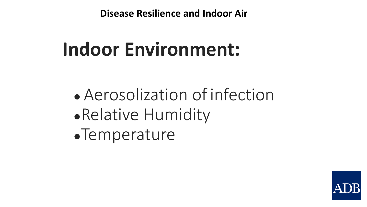## **Indoor Environment:**

• Aerosolization of infection ●Relative Humidity ●Temperature

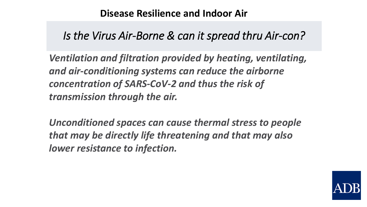#### *Is the Virus Air-Borne & can it spread thru Air-con?*

*Ventilation and filtration provided by heating, ventilating, and air-conditioning systems can reduce the airborne concentration of SARS-CoV-2 and thus the risk of transmission through the air.* 

*Unconditioned spaces can cause thermal stress to people that may be directly life threatening and that may also lower resistance to infection.*

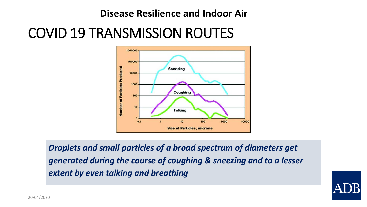## COVID 19 TRANSMISSION ROUTES



*Droplets and small particles of a broad spectrum of diameters get generated during the course of coughing & sneezing and to a lesser extent by even talking and breathing* 

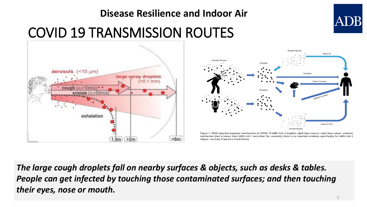## COVID 19 TRANSMISSION ROUTES **Disease Resilience and Indoor Air**





Figure 1. WHO reported exposure mechanisms of COVID-19 SARS-CoV-2 droplets (dark blue colour). Light blue colour: airbome mechanism that is known from SARS-CoV-1 and other flu, currently there is no reported evidence specifically for SARS-CoV-2 (figure: courtesy Francesco Franchimon).

*The large cough droplets fall on nearby surfaces & objects, such as desks & tables.*  People can get infected by touching those contaminated surfaces; and then touching *their eyes, nose or mouth.*

ADB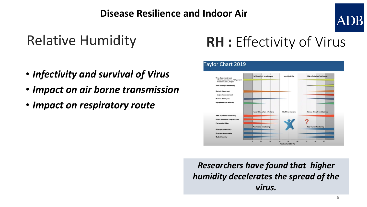## Relative Humidity

- *Infectivity and survival of Virus*
- *Impact on air borne transmission*
- *Impact on respiratory route*

## **RH :** Effectivity of Virus



*Researchers have found that higher humidity decelerates the spread of the virus.*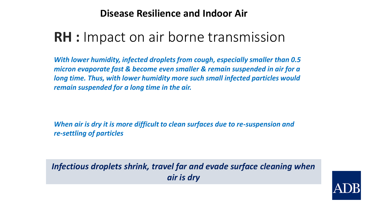## **RH :** Impact on air borne transmission

*With lower humidity, infected droplets from cough, especially smaller than 0.5 micron evaporate fast & become even smaller & remain suspended in air for a long time. Thus, with lower humidity more such small infected particles would remain suspended for a long time in the air.*

*When air is dry it is more difficult to clean surfaces due to re-suspension and re-settling of particles*

*Infectious droplets shrink, travel far and evade surface cleaning when air is dry*

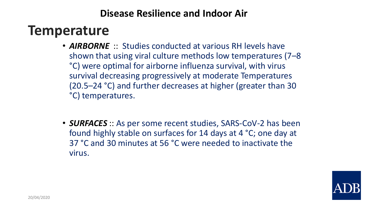## **Temperature**

- *AIRBORNE* :: Studies conducted at various RH levels have shown that using viral culture methods low temperatures (7–8 °C) were optimal for airborne influenza survival, with virus survival decreasing progressively at moderate Temperatures (20.5–24 °C) and further decreases at higher (greater than 30 °C) temperatures.
- *SURFACES* :: As per some recent studies, SARS-CoV-2 has been found highly stable on surfaces for 14 days at 4 °C; one day at 37 °C and 30 minutes at 56 °C were needed to inactivate the virus.

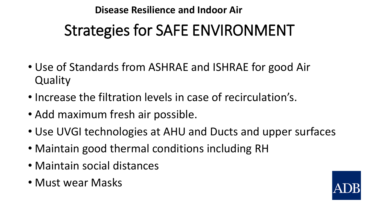## Strategies for SAFE ENVIRONMENT **Disease Resilience and Indoor Air**

- Use of Standards from ASHRAE and ISHRAE for good Air **Quality**
- Increase the filtration levels in case of recirculation's.
- Add maximum fresh air possible.
- Use UVGI technologies at AHU and Ducts and upper surfaces
- Maintain good thermal conditions including RH
- Maintain social distances
- Must wear Masks

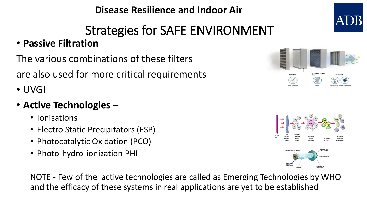## Strategies for SAFE ENVIRONMENT

#### • **Passive Filtration**

The various combinations of these filters

are also used for more critical requirements

• UVGI

#### • **Active Technologies –**

- Ionisations
- Electro Static Precipitators (ESP)
- Photocatalytic Oxidation (PCO)
- Photo-hydro-ionization PHI

NOTE - Few of the active technologies are called as Emerging Technologies by WHO and the efficacy of these systems in real applications are yet to be established





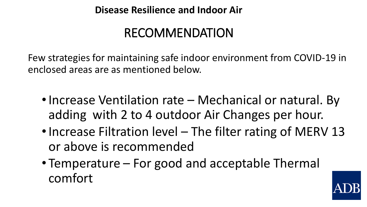## RECOMMENDATION

Few strategies for maintaining safe indoor environment from COVID-19 in enclosed areas are as mentioned below.

- Increase Ventilation rate Mechanical or natural. By adding with 2 to 4 outdoor Air Changes per hour.
- Increase Filtration level The filter rating of MERV 13 or above is recommended
- Temperature For good and acceptable Thermal comfort

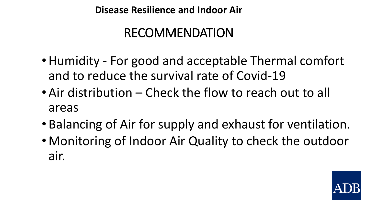## RECOMMENDATION

- •Humidity For good and acceptable Thermal comfort and to reduce the survival rate of Covid-19
- Air distribution Check the flow to reach out to all areas
- Balancing of Air for supply and exhaust for ventilation.
- Monitoring of Indoor Air Quality to check the outdoor air.